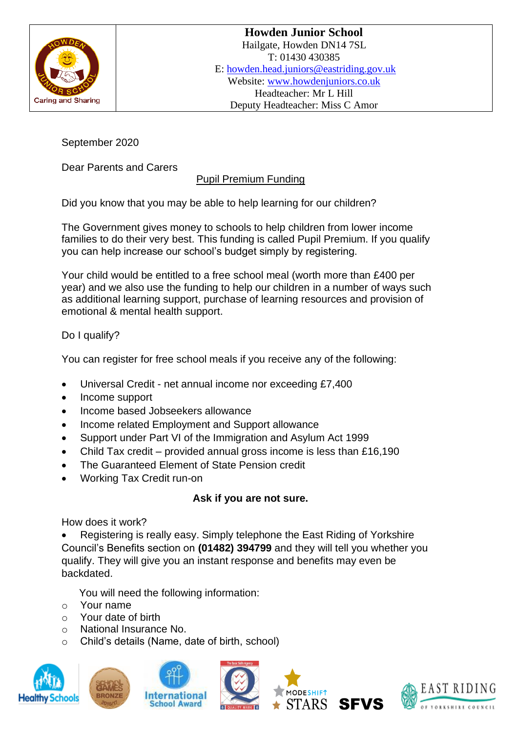

September 2020

Dear Parents and Carers

## Pupil Premium Funding

Did you know that you may be able to help learning for our children?

The Government gives money to schools to help children from lower income families to do their very best. This funding is called Pupil Premium. If you qualify you can help increase our school's budget simply by registering.

Your child would be entitled to a free school meal (worth more than £400 per year) and we also use the funding to help our children in a number of ways such as additional learning support, purchase of learning resources and provision of emotional & mental health support.

Do I qualify?

You can register for free school meals if you receive any of the following:

- Universal Credit net annual income nor exceeding £7,400
- Income support
- Income based Jobseekers allowance
- Income related Employment and Support allowance
- Support under Part VI of the Immigration and Asylum Act 1999
- Child Tax credit provided annual gross income is less than £16,190
- The Guaranteed Element of State Pension credit
- Working Tax Credit run-on

## **Ask if you are not sure.**

How does it work?

• Registering is really easy. Simply telephone the East Riding of Yorkshire Council's Benefits section on **(01482) 394799** and they will tell you whether you qualify. They will give you an instant response and benefits may even be backdated.

You will need the following information:

- o Your name
- o Your date of birth
- o National Insurance No.
- o Child's details (Name, date of birth, school)